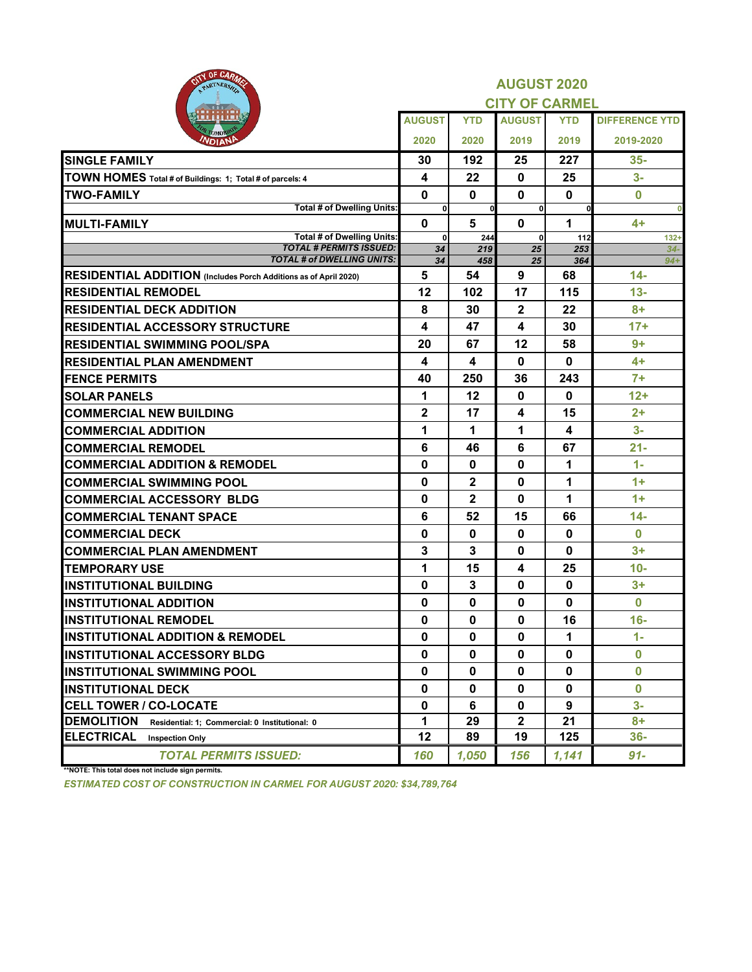| OF CARA<br>PARTNERSH                                                |                    |                | <b>AUGUST 2020</b><br><b>CITY OF CARMEL</b> |              |                       |
|---------------------------------------------------------------------|--------------------|----------------|---------------------------------------------|--------------|-----------------------|
|                                                                     | <b>AUGUST</b>      | <b>YTD</b>     | <b>AUGUST</b>                               | <b>YTD</b>   | <b>DIFFERENCE YTD</b> |
|                                                                     | 2020               | 2020           | 2019                                        | 2019         | 2019-2020             |
| <b>SINGLE FAMILY</b>                                                | 30                 | 192            | 25                                          | 227          | $35 -$                |
| TOWN HOMES Total # of Buildings: 1; Total # of parcels: 4           | 4                  | 22             | $\mathbf 0$                                 | 25           | $3-$                  |
| <b>TWO-FAMILY</b>                                                   | $\mathbf 0$        | $\mathbf{0}$   | $\mathbf{0}$                                | $\mathbf 0$  | $\bf{0}$              |
| <b>Total # of Dwelling Units:</b>                                   | $\mathbf{0}$       | $\mathbf{0}$   | $\mathbf{0}$                                | $\mathbf{0}$ |                       |
| <b>MULTI-FAMILY</b>                                                 | $\mathbf{0}$       | 5              | $\mathbf 0$                                 | 1            | $4+$                  |
| <b>Total # of Dwelling Units:</b><br><b>TOTAL # PERMITS ISSUED:</b> | $\mathbf{0}$<br>34 | 244<br>219     | $\bf{0}$<br>25                              | 112<br>253   | $132 +$<br>$34-$      |
| <b>TOTAL # of DWELLING UNITS:</b>                                   | 34                 | 458            | $\overline{25}$                             | 364          | $94+$                 |
| RESIDENTIAL ADDITION (Includes Porch Additions as of April 2020)    | 5                  | 54             | 9                                           | 68           | $14 -$                |
| <b>RESIDENTIAL REMODEL</b>                                          | 12                 | 102            | 17                                          | 115          | $13 -$                |
| <b>RESIDENTIAL DECK ADDITION</b>                                    | 8                  | 30             | $\overline{2}$                              | 22           | $8+$                  |
| <b>RESIDENTIAL ACCESSORY STRUCTURE</b>                              | 4                  | 47             | $\blacktriangle$                            | 30           | $17+$                 |
| <b>RESIDENTIAL SWIMMING POOL/SPA</b>                                | 20                 | 67             | 12                                          | 58           | $9+$                  |
| <b>RESIDENTIAL PLAN AMENDMENT</b>                                   | 4                  | 4              | $\mathbf 0$                                 | $\bf{0}$     | $4+$                  |
| <b>FENCE PERMITS</b>                                                | 40                 | 250            | 36                                          | 243          | $7+$                  |
| <b>SOLAR PANELS</b>                                                 | 1                  | 12             | $\mathbf 0$                                 | $\bf{0}$     | $12+$                 |
| <b>COMMERCIAL NEW BUILDING</b>                                      | $\overline{2}$     | 17             | 4                                           | 15           | $2+$                  |
| <b>COMMERCIAL ADDITION</b>                                          | 1                  | 1              | 1                                           | 4            | $3-$                  |
| <b>COMMERCIAL REMODEL</b>                                           | 6                  | 46             | 6                                           | 67           | $21 -$                |
| <b>COMMERCIAL ADDITION &amp; REMODEL</b>                            | $\bf{0}$           | 0              | $\bf{0}$                                    | 1            | $1 -$                 |
| <b>COMMERCIAL SWIMMING POOL</b>                                     | $\bf{0}$           | $\overline{2}$ | $\mathbf{0}$                                | 1            | $1+$                  |
| <b>COMMERCIAL ACCESSORY BLDG</b>                                    | $\bf{0}$           | $\overline{2}$ | $\mathbf{0}$                                | 1            | $1+$                  |
| <b>COMMERCIAL TENANT SPACE</b>                                      | 6                  | 52             | 15                                          | 66           | $14 -$                |
| <b>COMMERCIAL DECK</b>                                              | $\mathbf 0$        | $\mathbf 0$    | $\mathbf 0$                                 | $\bf{0}$     | $\bf{0}$              |
| <b>COMMERCIAL PLAN AMENDMENT</b>                                    | $\mathbf{3}$       | $\mathbf{3}$   | $\mathbf{0}$                                | $\bf{0}$     | $3+$                  |
| <b>TEMPORARY USE</b>                                                | 1                  | 15             | $\overline{\mathbf{4}}$                     | 25           | $10-$                 |
| <b>IINSTITUTIONAL BUILDING</b>                                      | $\mathbf 0$        | $\mathbf{3}$   | $\mathbf 0$                                 | $\mathbf{0}$ | $3+$                  |
| <b>INSTITUTIONAL ADDITION</b>                                       | $\mathbf 0$        | $\mathbf 0$    | $\mathbf 0$                                 | $\mathbf{0}$ | $\bf{0}$              |
| <b>INSTITUTIONAL REMODEL</b>                                        | $\mathbf 0$        | $\mathbf 0$    | $\mathbf 0$                                 | 16           | $16-$                 |
| <b>IINSTITUTIONAL ADDITION &amp; REMODEL</b>                        | $\mathbf 0$        | $\mathbf 0$    | $\mathbf 0$                                 | 1            | $1 -$                 |
| <b>IINSTITUTIONAL ACCESSORY BLDG</b>                                | $\mathbf 0$        | $\mathbf 0$    | $\mathbf 0$                                 | $\bf{0}$     | $\bf{0}$              |
| <b>INSTITUTIONAL SWIMMING POOL</b>                                  | $\mathbf 0$        | $\mathbf 0$    | $\mathbf 0$                                 | $\bf{0}$     | $\bf{0}$              |
| <b>INSTITUTIONAL DECK</b>                                           | 0                  | $\mathbf 0$    | $\mathbf{0}$                                | $\bf{0}$     | $\bf{0}$              |
| <b>CELL TOWER / CO-LOCATE</b>                                       | $\mathbf 0$        | 6              | $\mathbf 0$                                 | 9            | $3-$                  |
| <b>DEMOLITION</b><br>Residential: 1; Commercial: 0 Institutional: 0 | 1                  | 29             | $\overline{2}$                              | 21           | $8+$                  |
| <b>ELECTRICAL</b><br><b>Inspection Only</b>                         | 12                 | 89             | 19                                          | 125          | $36-$                 |
| <b>TOTAL PERMITS ISSUED:</b>                                        | 160                | 1,050          | 156                                         | 1,141        | $91 -$                |

**\*\*NOTE: This total does not include sign permits.**

*ESTIMATED COST OF CONSTRUCTION IN CARMEL FOR AUGUST 2020: \$34,789,764*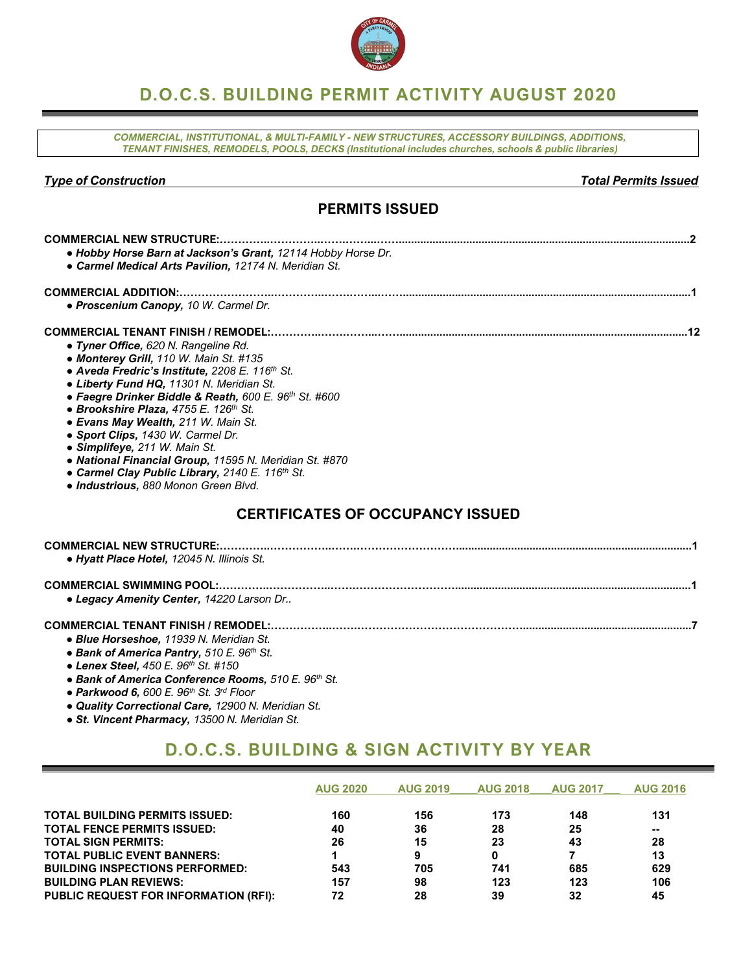

# **D.O.C.S. BUILDING PERMIT ACTIVITY AUGUST 2020**

*COMMERCIAL, INSTITUTIONAL, & MULTI-FAMILY - NEW STRUCTURES, ACCESSORY BUILDINGS, ADDITIONS, TENANT FINISHES, REMODELS, POOLS, DECKS (Institutional includes churches, schools & public libraries)*

### *Type of Construction Total Permits Issued*

### **PERMITS ISSUED**

| . Hobby Horse Barn at Jackson's Grant, 12114 Hobby Horse Dr.<br>• Carmel Medical Arts Pavilion, 12174 N. Meridian St. |
|-----------------------------------------------------------------------------------------------------------------------|
|                                                                                                                       |
|                                                                                                                       |
| • Proscenium Canopy, 10 W. Carmel Dr.                                                                                 |
|                                                                                                                       |
|                                                                                                                       |
| · Tyner Office, 620 N. Rangeline Rd.                                                                                  |
| • Monterey Grill, 110 W. Main St. #135                                                                                |
| • Aveda Fredric's Institute, 2208 E. 116th St.                                                                        |
| • Liberty Fund HQ, 11301 N. Meridian St.                                                                              |
| • Faegre Drinker Biddle & Reath, 600 E. 96th St. #600                                                                 |
| • Brookshire Plaza, 4755 E. 126th St.                                                                                 |
| • Evans May Wealth, 211 W. Main St.                                                                                   |
| • Sport Clips, 1430 W. Carmel Dr.                                                                                     |
| · Simplifeye, 211 W. Main St.                                                                                         |
| • National Financial Group, 11595 N. Meridian St. #870                                                                |
| • Carmel Clay Public Library, 2140 E. 116th St.                                                                       |
| · Industrious, 880 Monon Green Blvd.                                                                                  |
| <b>CERTIFICATES OF OCCUPANCY ISSUED</b>                                                                               |
|                                                                                                                       |
|                                                                                                                       |
| · Hyatt Place Hotel, 12045 N. Illinois St.                                                                            |
|                                                                                                                       |
| • Legacy Amenity Center, 14220 Larson Dr                                                                              |
|                                                                                                                       |
| • Blue Horseshoe, 11939 N. Meridian St.                                                                               |
| • Bank of America Pantry, 510 E. 96th St.                                                                             |
| • Lenex Steel, 450 E. 96th St. #150                                                                                   |
| • Bank of America Conference Rooms, 510 E. 96th St.                                                                   |
| • Parkwood 6, 600 E. $96th$ St. $3rd$ Floor                                                                           |
| • Quality Correctional Care, 12900 N, Meridian St.                                                                    |

- *● Quality Correctional Care, 12900 N. Meridian St.*
- *● St. Vincent Pharmacy, 13500 N. Meridian St.*

# **D.O.C.S. BUILDING & SIGN ACTIVITY BY YEAR**

|                                              | <b>AUG 2020</b> | <b>AUG 2019</b> | <b>AUG 2018</b> | <b>AUG 2017</b> | <b>AUG 2016</b> |
|----------------------------------------------|-----------------|-----------------|-----------------|-----------------|-----------------|
| <b>TOTAL BUILDING PERMITS ISSUED:</b>        | 160             | 156             | 173             | 148             | 131             |
| <b>TOTAL FENCE PERMITS ISSUED:</b>           | 40              | 36              | 28              | 25              | --              |
| <b>TOTAL SIGN PERMITS:</b>                   | 26              | 15              | 23              | 43              | 28              |
| <b>TOTAL PUBLIC EVENT BANNERS:</b>           |                 | 9               | 0               |                 | 13              |
| <b>BUILDING INSPECTIONS PERFORMED:</b>       | 543             | 705             | 741             | 685             | 629             |
| <b>BUILDING PLAN REVIEWS:</b>                | 157             | 98              | 123             | 123             | 106             |
| <b>PUBLIC REQUEST FOR INFORMATION (RFI):</b> | 72              | 28              | 39              | 32              | 45              |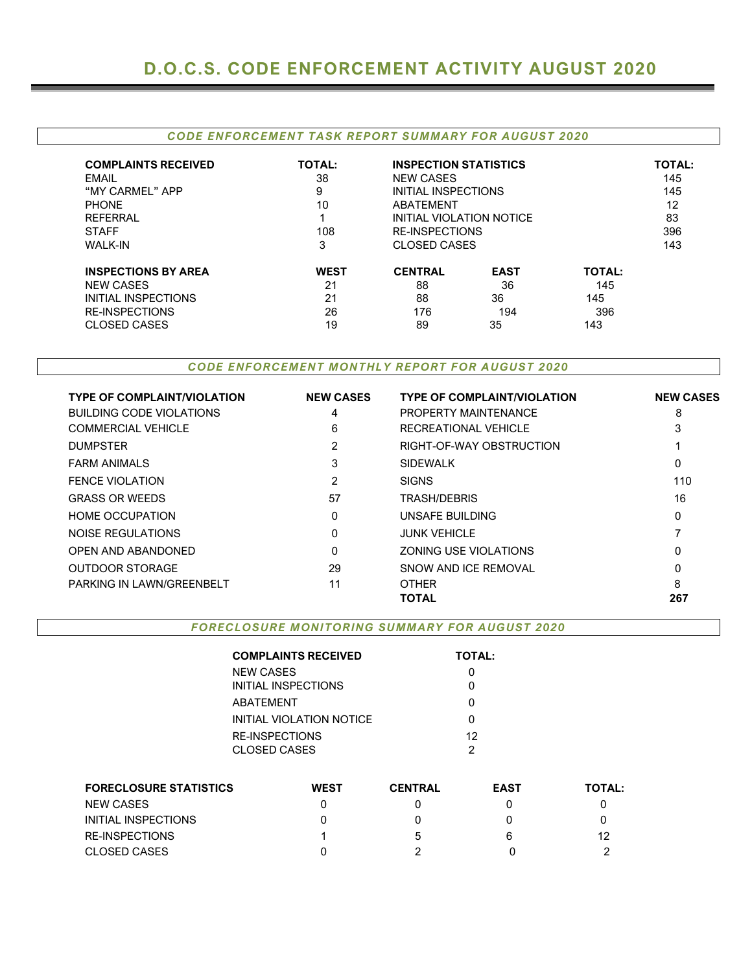### *CODE ENFORCEMENT TASK REPORT SUMMARY FOR AUGUST 2020*

| <b>COMPLAINTS RECEIVED</b><br>EMAIL<br>"MY CARMEL" APP<br><b>PHONE</b><br><b>REFERRAL</b><br><b>STAFF</b><br><b>WALK-IN</b> | <b>TOTAL:</b><br>38<br>9<br>10<br>108<br>3 | <b>INSPECTION STATISTICS</b><br><b>NEW CASES</b><br><b>INITIAL INSPECTIONS</b><br>ABATEMENT<br>INITIAL VIOLATION NOTICE<br><b>RE-INSPECTIONS</b><br><b>CLOSED CASES</b> |             |               |  |  |  |
|-----------------------------------------------------------------------------------------------------------------------------|--------------------------------------------|-------------------------------------------------------------------------------------------------------------------------------------------------------------------------|-------------|---------------|--|--|--|
| <b>INSPECTIONS BY AREA</b>                                                                                                  | <b>WEST</b>                                | <b>CENTRAL</b>                                                                                                                                                          | <b>EAST</b> | <b>TOTAL:</b> |  |  |  |
| <b>NEW CASES</b>                                                                                                            | 21                                         | 88                                                                                                                                                                      | 36          | 145           |  |  |  |
| INITIAL INSPECTIONS                                                                                                         | 21                                         | 88                                                                                                                                                                      | 36          | 145           |  |  |  |
| <b>RE-INSPECTIONS</b>                                                                                                       | 26                                         | 176                                                                                                                                                                     | 194         | 396           |  |  |  |
| <b>CLOSED CASES</b>                                                                                                         | 19                                         | 89                                                                                                                                                                      | 35          | 143           |  |  |  |

*CODE ENFORCEMENT MONTHLY REPORT FOR AUGUST 2020*

| <b>TYPE OF COMPLAINT/VIOLATION</b> | <b>NEW CASES</b> | <b>TYPE OF COMPLAINT/VIOLATION</b> | <b>NEW CASES</b> |
|------------------------------------|------------------|------------------------------------|------------------|
| <b>BUILDING CODE VIOLATIONS</b>    | 4                | PROPERTY MAINTENANCE               | 8                |
| <b>COMMERCIAL VEHICLE</b>          | 6                | RECREATIONAL VEHICLE               | 3                |
| <b>DUMPSTER</b>                    | 2                | RIGHT-OF-WAY OBSTRUCTION           |                  |
| <b>FARM ANIMALS</b>                | 3                | <b>SIDEWALK</b>                    | 0                |
| <b>FENCE VIOLATION</b>             | 2                | <b>SIGNS</b>                       | 110              |
| <b>GRASS OR WEEDS</b>              | 57               | <b>TRASH/DEBRIS</b>                | 16               |
| <b>HOME OCCUPATION</b>             | 0                | UNSAFE BUILDING                    | 0                |
| NOISE REGULATIONS                  | $\Omega$         | <b>JUNK VEHICLE</b>                |                  |
| <b>OPEN AND ABANDONED</b>          | 0                | <b>ZONING USE VIOLATIONS</b>       | 0                |
| <b>OUTDOOR STORAGE</b>             | 29               | SNOW AND ICE REMOVAL               | 0                |
| PARKING IN LAWN/GREENBELT          | 11               | <b>OTHER</b>                       | 8                |
|                                    |                  | <b>TOTAL</b>                       | 267              |

*FORECLOSURE MONITORING SUMMARY FOR AUGUST 2020*

**COMPLAINTS RECEIVED TOTAL:** NEW CASES 0 INITIAL INSPECTIONS 0 ABATEMENT 0 INITIAL VIOLATION NOTICE 0 RE-INSPECTIONS CLOSED CASES 12 2

| <b>FORECLOSURE STATISTICS</b> | WEST | <b>CENTRAL</b> | <b>EAST</b> | TOTAL: |
|-------------------------------|------|----------------|-------------|--------|
| NEW CASES                     |      |                |             |        |
| INITIAL INSPECTIONS           |      | 0              |             |        |
| RE-INSPECTIONS                |      | b              |             | 12     |
| CLOSED CASES                  |      |                |             |        |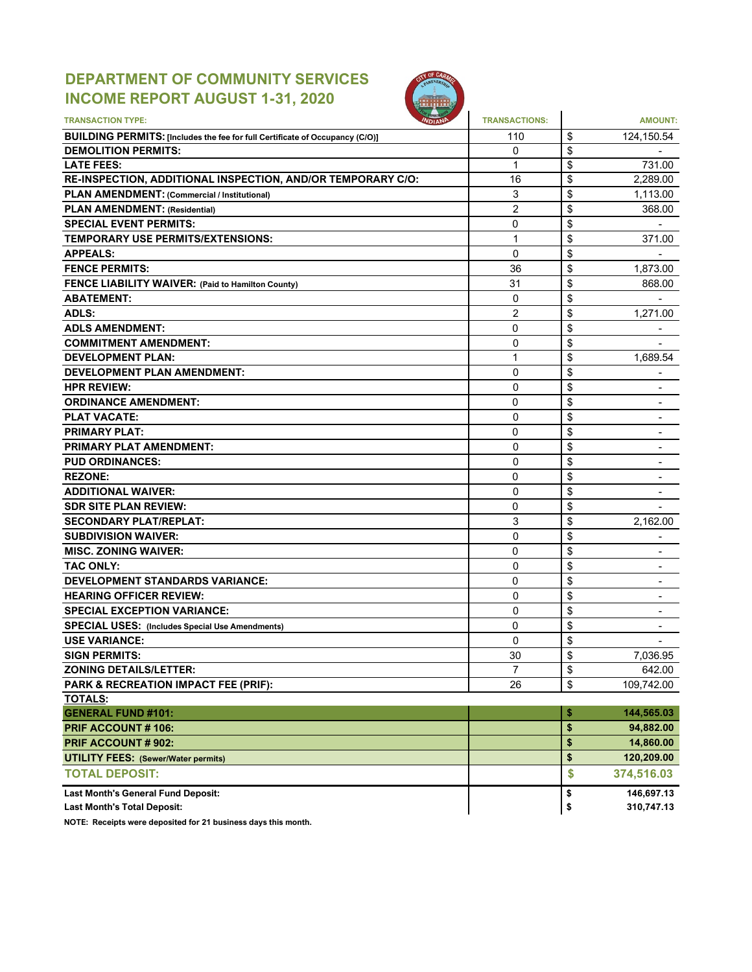# **DEPARTMENT OF COMMUNITY SERVICES INCOME REPORT AUGUST 1-31, 2020**



| <b>TRANSACTION TYPE:</b>                                                     | <b>TRANSACTIONS:</b> | <b>AMOUNT:</b>       |
|------------------------------------------------------------------------------|----------------------|----------------------|
|                                                                              |                      |                      |
| BUILDING PERMITS: [Includes the fee for full Certificate of Occupancy (C/O)] | 110                  | \$<br>124,150.54     |
| <b>DEMOLITION PERMITS:</b>                                                   | 0                    | \$                   |
| <b>LATE FEES:</b>                                                            | 1                    | \$<br>731.00         |
| RE-INSPECTION, ADDITIONAL INSPECTION, AND/OR TEMPORARY C/O:                  | 16                   | \$<br>2.289.00       |
| PLAN AMENDMENT: (Commercial / Institutional)                                 | 3                    | \$<br>1,113.00       |
| <b>PLAN AMENDMENT: (Residential)</b>                                         | 2                    | \$<br>368.00         |
| <b>SPECIAL EVENT PERMITS:</b>                                                | 0                    | \$                   |
| TEMPORARY USE PERMITS/EXTENSIONS:                                            | 1                    | \$<br>371.00         |
| <b>APPEALS:</b>                                                              | $\mathbf{0}$         | \$                   |
| <b>FENCE PERMITS:</b>                                                        | 36                   | \$<br>1,873.00       |
| FENCE LIABILITY WAIVER: (Paid to Hamilton County)                            | 31                   | \$<br>868.00         |
| <b>ABATEMENT:</b>                                                            | 0                    | \$                   |
| <b>ADLS:</b>                                                                 | 2                    | \$<br>1,271.00       |
| <b>ADLS AMENDMENT:</b>                                                       | 0                    | \$                   |
| <b>COMMITMENT AMENDMENT:</b>                                                 | 0                    | \$                   |
| <b>DEVELOPMENT PLAN:</b>                                                     | 1                    | \$<br>1,689.54       |
| <b>DEVELOPMENT PLAN AMENDMENT:</b>                                           | 0                    | \$                   |
| <b>HPR REVIEW:</b>                                                           | 0                    | \$                   |
| <b>ORDINANCE AMENDMENT:</b>                                                  | 0                    |                      |
|                                                                              |                      | \$                   |
| <b>PLAT VACATE:</b>                                                          | 0                    | \$                   |
| <b>PRIMARY PLAT:</b>                                                         | 0                    | \$                   |
| <b>PRIMARY PLAT AMENDMENT:</b>                                               | 0                    | \$                   |
| <b>PUD ORDINANCES:</b>                                                       | 0                    | \$                   |
| <b>REZONE:</b>                                                               | 0                    | \$                   |
| <b>ADDITIONAL WAIVER:</b>                                                    | $\mathbf{0}$         | \$                   |
| <b>SDR SITE PLAN REVIEW:</b>                                                 | 0                    | \$                   |
| <b>SECONDARY PLAT/REPLAT:</b>                                                | 3                    | \$<br>2,162.00       |
| <b>SUBDIVISION WAIVER:</b>                                                   | $\mathbf{0}$         | \$                   |
| <b>MISC. ZONING WAIVER:</b>                                                  | 0                    | \$<br>$\blacksquare$ |
| <b>TAC ONLY:</b>                                                             | $\mathbf{0}$         | \$                   |
| <b>DEVELOPMENT STANDARDS VARIANCE:</b>                                       | 0                    | \$                   |
| <b>HEARING OFFICER REVIEW:</b>                                               | 0                    | \$                   |
| <b>SPECIAL EXCEPTION VARIANCE:</b>                                           | 0                    | \$                   |
| <b>SPECIAL USES: (Includes Special Use Amendments)</b>                       | 0                    | \$                   |
| <b>USE VARIANCE:</b>                                                         | 0                    | \$<br>$\blacksquare$ |
| <b>SIGN PERMITS:</b>                                                         | 30                   | \$<br>7,036.95       |
|                                                                              |                      |                      |
| <b>ZONING DETAILS/LETTER:</b>                                                | $\overline{7}$       | \$<br>642.00         |
| PARK & RECREATION IMPACT FEE (PRIF):                                         | 26                   | \$<br>109,742.00     |
| <b>TOTALS:</b>                                                               |                      |                      |
| <b>GENERAL FUND #101:</b>                                                    |                      | \$<br>144,565.03     |
| PRIF ACCOUNT #106:                                                           |                      | \$<br>94,882.00      |
| PRIF ACCOUNT # 902:                                                          |                      | \$<br>14,860.00      |
| <b>UTILITY FEES: (Sewer/Water permits)</b>                                   |                      | \$<br>120,209.00     |
| <b>TOTAL DEPOSIT:</b>                                                        |                      | \$<br>374,516.03     |
| <b>Last Month's General Fund Deposit:</b>                                    |                      | \$<br>146,697.13     |
| <b>Last Month's Total Deposit:</b>                                           |                      | \$<br>310,747.13     |

**NOTE: Receipts were deposited for 21 business days this month.**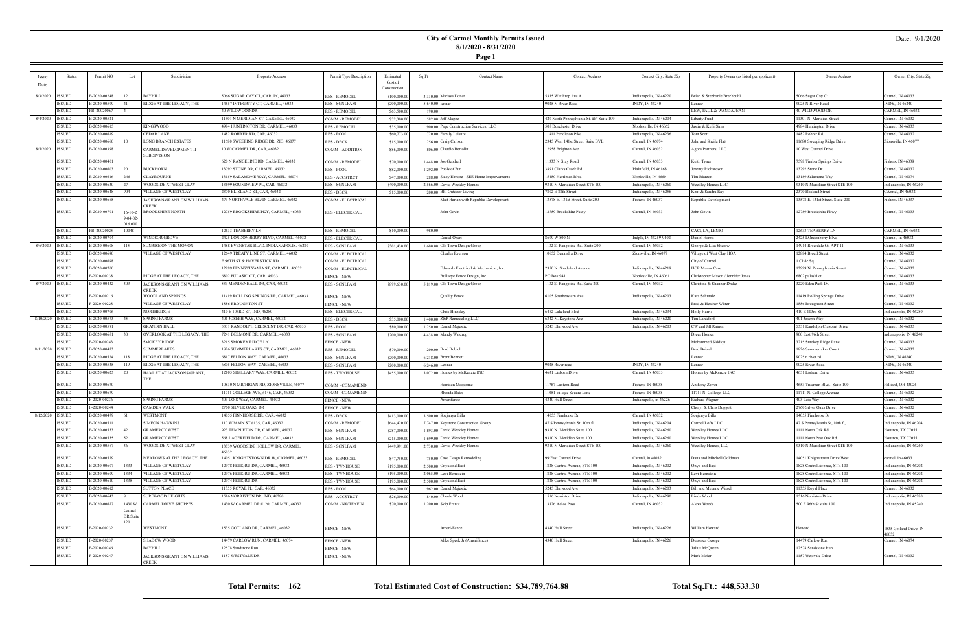**Page 1**

### Date: 9/1/2020

| Issue              | Status                         | Permit NO                    | Lot                          | Subdivision                                 | Property Address                                                 | Permit Type Description                 | Estimated                    | Sq Ft             | <b>Contact Name</b>                                             | <b>Contact Address</b>                 | Contact City, State Zip              | Property Owner (as listed per applicant)     | Owner Address                                      | Owner City, State Zip                |
|--------------------|--------------------------------|------------------------------|------------------------------|---------------------------------------------|------------------------------------------------------------------|-----------------------------------------|------------------------------|-------------------|-----------------------------------------------------------------|----------------------------------------|--------------------------------------|----------------------------------------------|----------------------------------------------------|--------------------------------------|
| Date               |                                |                              |                              |                                             |                                                                  |                                         | Cost of                      |                   |                                                                 |                                        |                                      |                                              |                                                    |                                      |
|                    |                                |                              |                              |                                             |                                                                  |                                         | Constructic                  |                   |                                                                 |                                        |                                      |                                              |                                                    |                                      |
| 8/3/2020   ISSUED  |                                | B-2020-00248                 |                              | <b>BAYHILL</b>                              | 5066 SUGAR CAY CT, CAR, IN, 46033                                | <b>RES - REMODEL</b>                    | \$100,000.0                  |                   | 3,330.00 Marissa Doner                                          | 5335 Winthrop Ave A                    | Indianapolis, IN 46220               | Brian & Stephanie Brechbuhl                  | 5066 Sugar Cay Ct                                  | Carmel, IN 46033                     |
|                    | ISSUED                         | B-2020-00599                 |                              | RIDGE AT THE LEGACY, THE                    | 14557 INTEGRITY CT, CARMEL, 46033                                | <b>RES - SGNLFAM</b>                    | \$200,000.00                 | $5,640.00$ lennar |                                                                 | 9025 N River Road                      | INDY, IN 46240                       | Lennar                                       | 9025 N RIver Road                                  | INDY, IN 46240                       |
|                    | ISSUED                         | PB 20020067                  |                              |                                             | 40 WILDWOOD DR                                                   | <b>RES - REMODEL</b>                    | \$63,500.00                  | 190.00            |                                                                 |                                        |                                      | LEW, PAUL & WANDA JEAN                       | 40 WILDWOOD DR                                     | ARMEL, IN 46032:                     |
| 8/4/2020   ISSUED  |                                | B-2020-00521                 |                              |                                             | 11301 N MERIDIAN ST, CARMEL, 46032                               | COMM - REMODEI                          | \$32,300.00                  |                   | 582.00 Jeff Magee                                               | 429 North Pennsylvania St. – Suite 109 | Indianapolis, IN 46204               | Liberty Fund                                 | 11301 N. Meridian Street                           | Carmel, IN 46032                     |
|                    | ISSUED                         | B-2020-00615<br>B-2020-00619 |                              | KINGSWOOD                                   | 4984 HUNTINGTON DR, CARMEL, 46033                                | <b>RES - REMODEL</b>                    | \$35,000.00                  |                   | 900.00 Page Construction Services, LLC                          | 505 Dorchester Drive                   | Noblesville, IN 46062                | Justin & Kelli Sims                          | 4984 Huntington Drive                              | Carmel, IN 46033                     |
|                    | <b>ISSUED</b><br><b>ISSUED</b> |                              |                              | CEDAR LAKE                                  | 1482 ROHRER RD, CAR, 46032                                       | RES - POOL                              | \$60,773.00                  |                   | 720.00 Family Leisure                                           | 11811 Pendleton Pike                   | Indianapolis, IN 46236               | Tom Scott                                    | 1482 Rohrer Rd.                                    | Carmel, IN 46032                     |
| 8/5/2020   ISSUED  |                                | B-2020-00660<br>B-2020-00398 |                              | LONG BRANCH ESTATES                         | 1680 SWEEPING RIDGE DR, ZIO, 46077<br>10 W CARMEL DR, CAR, 46032 | RES - DECK                              | \$15,000.00                  |                   | 256.00 Craig Carlson<br>806.00 Claudio Bertolini                | 2345 West 141st Street, Suite BYL      | Carmel, IN 46074<br>Carmel, IN 46032 | John and Sheila Flatt<br>Agora Partners, LLC | 11680 Sweeping Ridge Drive<br>10 West Carmel Drive | Zionsville, IN 46077                 |
|                    |                                |                              |                              | CARMEL DEVELOPMENT II<br><b>SUBDIVISION</b> |                                                                  | COMM - ADDITION                         | \$86,000.00                  |                   |                                                                 | 12958 Brighton Ave                     |                                      |                                              |                                                    |                                      |
|                    | ISSUED                         | B-2020-00401                 |                              |                                             | 620 N RANGELINE RD, CARMEL, 46032                                | COMM - REMODEL                          | \$70,000.00                  |                   | $1,448.00$ Joe Getchell                                         | 11333 N Gray Road                      | Carmel, IN 46033                     | Keith Tyner                                  | 7598 Timber Springs Drive                          | ishers, IN 46038                     |
|                    | ISSUED                         | B-2020-00603                 |                              | BUCKHORN                                    | 13792 STONE DR, CARMEL, 46032                                    | <b>RES - POOL</b>                       | \$82,000.00                  |                   | 1,292.00 Pools of Fun                                           | 3891 Clarks Creek Rd.                  | Plainfield, IN 46168                 | Jeremy Richardson                            | 13792 Stone Dr.                                    | Carmel, IN 46032                     |
|                    | <b>ISSUED</b>                  | B-2020-00616                 |                              | <b>CLAYBOURNE</b>                           | 13159 SALAMONE WAY, CARMEL, 46074                                | <b>RES - ACCSTRCT</b>                   | \$47,000.00                  |                   | 288.00 Stacy Elmore - SEE Home Improvements                     | 15480 Herriman Blvd                    | Nobleville, IN 4660                  | <b>Tim Blanton</b>                           | 13159 Salamone Way                                 | armel, IN 46074                      |
|                    | ISSUED                         | B-2020-00630                 |                              | WOODSIDE AT WEST CLAY                       | 13699 SOUNDVIEW PL, CAR, 46032                                   | <b>RES - SGNLFAM</b>                    | \$400,000.00                 |                   | 2,566.00 David Weekley Homes                                    | 9310 N Meridiian Street STE 100        | Indianapolis, IN 46260               | Weekley Homes LLC                            | 9310 N Meridiian Street STE 100                    | ndianapolis, IN 46260                |
|                    | ISSUED                         | B-2020-00648                 | 904                          | VILLAGE OF WESTCLAY                         | 2370 BLISLAND ST, CAR, 46032                                     | RES - DECK                              | \$15,000.00                  |                   | 200.00 BPI Outdoor Living                                       | 7802 E 88th Street                     | Indianapolis, IN 46256               | Kent & Sandra Ray                            | 2370 Blisland Street                               | CArmel, IN 46032                     |
|                    | ISSUED                         | B-2020-00665                 |                              | JACKSONS GRANT ON WILLIAMS                  | 473 NORTHVALE BLVD, CARMEL, 46032                                | COMM - ELECTRICAL                       |                              |                   | Matt Harlan with Republic Development                           | 13578 E. 131st Street, Suite 200       | Fishers, IN 46037                    | Republic Development                         | 13578 E. 131st Street, Suite 200                   | Fishers, IN 46037                    |
|                    |                                |                              |                              | CREEK                                       |                                                                  |                                         |                              |                   |                                                                 |                                        |                                      |                                              |                                                    |                                      |
|                    | ISSUED                         | B-2020-00701                 | $16-10-2$<br>$9 - 04 - 02 -$ | <b>BROOKSHIRE NORTH</b>                     | 12759 BROOKSHIRE PKY, CARMEL, 46033                              | <b>RES - ELECTRICAL</b>                 |                              |                   | John Govin                                                      | 12759 Brookshire Pkwy                  | Carmel, IN 46033                     | John Govin                                   | 12759 Brookshire Pkwy                              | Carmel, IN 46033                     |
|                    |                                |                              | 016,000                      |                                             |                                                                  |                                         |                              |                   |                                                                 |                                        |                                      |                                              |                                                    |                                      |
|                    | ISSUED                         | PB_20020025                  | 10048                        |                                             | 12633 TEABERRY LN                                                | <b>RES - REMODEL</b>                    | \$10,000.00                  | 980.00            |                                                                 |                                        |                                      | CACULA, LENIO                                | 12633 TEABERRY LN                                  | CARMEL, IN 46032                     |
|                    | ISSUED                         | B-2020-00704                 |                              | WINDSOR GROVE                               | 2425 LONDONBERRY BLVD, CARMEL, 46032                             | <b>RES - ELECTRICAL</b>                 |                              |                   | Daniel Obert                                                    | 8699 W 800 N                           | Indpls, IN 46259-9402                | Daniel Harris                                | 2425 LOndonberry Blvd                              | Carmel, In 46032                     |
| 8/6/2020   ISSUED  |                                | B-2020-00608                 |                              | SUNRISE ON THE MONON                        | 1488 EVENSTAR BLVD, INDIANAPOLIS, 46280                          | <b>RES - SGNLFAM</b>                    | \$301,430.00                 |                   | 1,600.00 Old Town Design Group                                  | 1132 S. Rangeline Rd. Suite 200        | Carmel, IN 46032                     | George & Lisa Sheraw                         | 14914 Riverdale Ct. APT 11                         | Carmel, IN 46033                     |
|                    | ISSUED                         | B-2020-00690                 |                              | VILLAGE OF WESTCLAY                         | 12649 TREATY LINE ST, CARMEL, 46032                              | COMM - ELECTRICAL                       |                              |                   | <b>Charles Ryerson</b>                                          | 10652 Denandra Drive                   | Zionsville, IN 46077                 | Village of West Clay HOA                     | 12884 Broad Street                                 | Carmel, IN 46032                     |
|                    | ISSUED                         | B-2020-00698                 |                              |                                             | E 96TH ST & HAVERSTICK RD                                        | COMM - ELECTRICAL                       |                              |                   |                                                                 |                                        |                                      | City of Carmel                               | 1 Civic Sq                                         | Carmel, IN 46032                     |
|                    | ISSUED                         | B-2020-00700                 |                              |                                             | 12999 PENNSYLVANIA ST, CARMEL, 46032                             | COMM - ELECTRICAL                       |                              |                   | Edwards Electrical & Mechanical, Inc.                           | 2350 N. Shadeland Avenue               | Indianapolis, IN 46219               | <b>HCR Manor Care</b>                        | 12999 N. Pennsylvania Street                       | Carmel, IN 46032                     |
|                    | ISSUED                         | F-2020-00238                 |                              | RIDGE AT THE LEGACY, THE                    | 6802 PULASKI CT, CAR, 46033                                      | <b>FENCE - NEW</b>                      |                              |                   | Bullseye Fence Design, Inc.                                     | PO Box 941                             | Noblesville, IN 46061                | Christopher Mason / Jennifer Jones           | 6802 pulaski ct                                    | Carmel, IN 46033                     |
| 8/7/2020   ISSUED  |                                | B-2020-00432                 | 1309                         | JACKSONS GRANT ON WILLIAMS<br>CREEK         | 533 MENDENHALL DR, CAR, 46032                                    | <b>RES - SGNLFAM</b>                    | \$899,630.00                 |                   | 5,819.00 Old Town Design Group                                  | 1132 S. Rangeline Rd. Suite 200        | Carmel, IN 46032                     | Christina & Shanner Drake                    | 3220 Eden Park Dr.                                 | Carmel, IN 46033                     |
|                    | ISSUED                         | F-2020-00216                 |                              | WOODLAND SPRINGS                            | 11419 ROLLING SPRINGS DR, CARMEL, 46033                          | <b>FENCE - NEW</b>                      |                              |                   | <b>Quality Fence</b>                                            | 5105 Southeastern Ave                  | Indianapolis, IN 46203               | Kara Schmalz                                 | 11419 Rolling Springs Drive                        | Carmel, IN 46033                     |
|                    | <b>ISSUED</b>                  | F-2020-00228                 |                              | VILLAGE OF WESTCLAY                         | 1886 BROUGHTON ST                                                | <b>FENCE - NEW</b>                      |                              |                   |                                                                 |                                        |                                      | Brad & Heather Witter                        | 1886 Broughton Street                              | Carmel, IN 46032                     |
|                    | <b>ISSUED</b>                  | B-2020-00706                 |                              | NORTHRIDGE                                  | 410 E 103RD ST, IND, 46280                                       | <b>RES - ELECTRICAL</b>                 |                              |                   | Chris Hinesley                                                  | 6482 Lakeland Blvd                     | Indianapolis, IN 46234               | Holly Harris                                 | $410\to103$ rd St                                  | Indianapolis, IN 46280               |
| 8/10/2020   ISSUED |                                | B-2020-00573                 |                              | SPRING FARMS                                | 401 JOSEPH WAY, CARMEL, 46032                                    | <b>RES - DECK</b>                       | \$35,000.00                  |                   | 1,400.00 Z&P Remodeling LLC                                     | 5342 N. Keystone Ave                   | Indianapolis, IN 46220               | Tim Lankford                                 | 401 Joseph Way                                     | Carmel, IN 46032                     |
|                    | <b>ISSUED</b>                  | B-2020-00591                 |                              | GRANDIN HALL                                | 5331 RANDOLPH CRESCENT DR, CAR, 46033                            | <b>RES - POOL</b>                       | \$80,000.00                  |                   | 1,250.00 Daniel Majestic                                        | 5245 Elmwood Ave                       | Indianapolis, IN 46203               | CW and Jill Raines                           | 5331 Randolph Crescent Drive                       | Carmel, IN 46033                     |
|                    | <b>ISSUED</b>                  | B-2020-00651                 |                              | OVERLOOK AT THE LEGACY, THE                 | 7241 DELMONT DR, CARMEL, 46033                                   | <b>RES - SGNLFAM</b>                    | \$200,000.00                 |                   | 4,438.00 Mandy Waldrup                                          |                                        |                                      | Drees Homes                                  | 900 East 96th Street                               | ndianapolis, IN 46240                |
|                    | <b>ISSUED</b>                  | F-2020-00243                 |                              | <b>SMOKEY RIDGE</b>                         | 3215 SMOKEY RIDGE LN                                             | <b>FENCE - NEW</b>                      |                              |                   |                                                                 |                                        |                                      | Mohammed Siddiqui                            | 3215 Smokey Ridge Lane                             | Carmel, IN 46033                     |
| 8/11/2020 ISSUED   |                                | B-2020-00473                 |                              | SUMMERLAKES                                 | 1826 SUMMERLAKES CT, CARMEL, 46032                               | <b>RES - REMODEL</b>                    | \$70,000.00                  |                   | 200.00 Brad Bobich                                              |                                        |                                      | <b>Brad Bobich</b>                           | 1826 Summerlakes Court                             | Carmel, IN 46032                     |
|                    | ISSUED                         | B-2020-00524                 |                              | RIDGE AT THE LEGACY, THE                    | 6817 FELTON WAY, CARMEL, 46033                                   | <b>RES - SGNLFAM</b>                    | \$200,000.00                 |                   | $6,218.00$ Brent Bennett                                        |                                        |                                      | Lennar                                       | 9025 n river rd                                    | INDY, IN 46240                       |
|                    | ISSUED                         | B-2020-00535                 |                              | RIDGE AT THE LEGACY, THE                    | 6805 FELTON WAY, CARMEL, 46033                                   | <b>RES - SGNLFAM</b>                    | \$200,000.00                 | $6,246.00$ Lennar |                                                                 | 9025 River road                        | INDY, IN 46240                       | Lennar                                       | 9025 River Road                                    | INDY, IN 46240                       |
|                    | ISSUED                         | B-2020-00623                 |                              | HAMLET AT JACKSONS GRANT,                   | 12103 SIGILLARY WAY, CARMEL, 46032                               | <b>RES - TWNHOUSE</b>                   | \$455,000.00                 |                   | 3,072.00 Homes by McKenzie INC                                  | 4631 Lisborn Drive                     | Carmel, IN 46033                     | Homes by McKenzie INC                        | 4631 Lisborn Drive                                 | Carmel, IN 46033                     |
|                    |                                |                              |                              | THF                                         |                                                                  |                                         |                              |                   |                                                                 |                                        |                                      |                                              |                                                    |                                      |
|                    | ISSUED                         | B-2020-00670                 |                              |                                             | 10830 N MICHIGAN RD, ZIONSVILLE, 46077                           | COMM - COMAMEND                         |                              |                   | Harrison Massonne                                               | 11787 Lantern Road                     | Fishers, IN 46038                    | Anthony Zerrer                               | 4653 Trueman Blvd., Suite 100                      | Hilliard, OH 43026                   |
|                    | ISSUED                         | B-2020-00679                 |                              |                                             | 11711 COLLEGE AVE, #146, CAR, 46032                              | COMM - COMAMEND                         |                              |                   | Rhonda Bates                                                    | 11051 Village Square Lane              | Fishers, IN 46038                    | 11711 N. College, LLC                        | 11711 N. College Avenue                            | Carmel, IN 46032                     |
|                    | <b>ISSUED</b><br><b>ISSUED</b> | F-2020-00236<br>F-2020-00244 |                              | SPRING FARMS<br>CAMDEN WALK                 | 403 LOIS WAY, CARMEL, 46032<br>2760 SILVER OAKS DR               | <b>FENCE - NEW</b>                      |                              |                   | Amerifence                                                      | 4340 Hull Street                       | Indianapolis, in 46226               | Richard Wagner<br>Cheryl & Chris Doggett     | 403 Lois Way<br>2760 Silver Oaks Drive             | Carmel, IN 46032<br>Carmel, IN 46032 |
| 8/12/2020   ISSUED |                                | B-2020-00479                 |                              | WESTMONT                                    | 4055 FINNHORSE DR, CAR, 46032                                    | <b>FENCE - NEW</b><br><b>RES - DECK</b> |                              |                   |                                                                 | 14055 Finnhorse Dr                     | Carmel, IN 46032                     | Soujanya Billa                               | 14055 Finnhorse Dr                                 | Carmel, IN 46032                     |
|                    | ISSUED                         | B-2020-00511                 |                              | <b>SIMEON HAWKINS</b>                       | 110 W MAIN ST #135, CAR, 46032                                   | COMM - REMODEL                          | \$413,000.00<br>\$644,420.00 |                   | 3,500.00 Soujanya Billa<br>7,747.00 Keystone Construction Group | 47 S Pennsylvania St, 10th fl,         | Indianapolis, IN 46204               | Carmel Lofts LLC                             | 47 S Pennsylvania St, 10th fl,                     | Indianapolis, IN 46204               |
|                    | ISSUED                         | B-2020-00553                 | 142                          | <b>GRAMERCY WEST</b>                        | 923 TEMPLETON DR, CARMEL, 46032                                  | RES - SGNLFAM                           | \$287,000.00                 |                   | 1,893.00 David Weekley Homes                                    | 9310 N. Meridian Suite 100             | Indianapolis, IN 46260               | Weekley Homes LLC                            | 1111 North Oak Rd                                  | Jouston, TX 77055                    |
|                    | ISSUED                         | B-2020-00555                 |                              | <b>GRAMERCY WEST</b>                        | 568 LAGERFIELD DR, CARMEL, 46032                                 | RES - SGNLFAM                           | \$215,000.00                 |                   | 1,699.00 David Weekley Homes                                    | 9310 N. Meridian Suite 100             | Indianapolis, IN 46260               | Weekley Homes LLC                            | 1111 North Post Oak Rd.                            | Iouston, TX 77055                    |
|                    | ISSUED                         | B-2020-00567                 |                              | WOODSIDE AT WEST CLAY                       | 13739 WOODSIDE HOLLOW DR, CARMEL,                                | RES - SGNLFAM                           | \$449,991.00                 |                   | 2,730.00 David Weekley Homes                                    | 9310 N Meridiian Street STE 100        | Indianapolis, IN 46260               | Weekley Homes, LLC                           | 9310 N Meridiian Street STE 100                    | Indianapolis, IN 46260               |
|                    |                                |                              |                              |                                             | 6032                                                             |                                         |                              |                   |                                                                 |                                        |                                      |                                              |                                                    |                                      |
|                    | <b>ISSUED</b>                  | B-2020-00579                 |                              | MEADOWS AT THE LEGACY, THE                  | 14051 KNIGHTSTOWN DR W, CARMEL, 46033                            | <b>RES - REMODEL</b>                    | \$47,750.00                  |                   | 750.00 Case Desgn Remodeling                                    | 99 East Carmel Drive                   | Carmel, in 46032                     | Dana and Mitchell Goldman                    | 14051 Knightstown Drive West                       | armel, in 46033                      |
|                    | <b>ISSUED</b>                  | B-2020-00607                 | 1333                         | <b>VILLAGE OF WESTCLAY</b>                  | 12978 PETIGRU DR, CARMEL, 46032                                  | <b>RES - TWNHOUSE</b>                   | \$195,000.00                 |                   | $2,500.00$ Onyx and East                                        | 1828 Central Avenue, STE 100           | Indianapolis, IN 46202               | Onyx and East                                | 1828 Central Avenue, STE 100                       | Indianapolis, IN 46202               |
|                    | ISSUED                         | B-2020-00609                 | 1334                         | <b>VILLAGE OF WESTCLAY</b>                  | 12976 PETIGRU DR, CARMEL, 46032                                  | <b>RES - TWNHOUSE</b>                   | \$195,000.00                 |                   | 2,065.00 Levi Bernstein                                         | 1828 Central Avenue, STE 100           | Indianapolis, IN 46202               | Levi Bernstein                               | 1828 Central Avenue, STE 100                       | Indianapolis, IN 46202               |
|                    | ISSUED                         | B-2020-00610                 | 1335                         | <b>VILLAGE OF WESTCLAY</b>                  | 12974 PETIGRU DR                                                 | <b>RES - TWNHOUSE</b>                   | \$195,000.00                 |                   | $2,500.00$ Onyx and East                                        | 1828 Central Avenue, STE 100           | Indianapolis, IN 46202               | Onyx and East                                | 1828 Central Avenue, STE 100                       | Indianapolis, IN 46202               |
|                    | <b>ISSUED</b>                  | B-2020-00612                 |                              | <b>SUTTON PLACE</b>                         | 11355 ROYAL PL, CAR, 46032                                       | RES - POOL                              | \$64,000.00                  |                   | 962.00 Daniel Majestic                                          | 5245 Elmwood Ave                       | Indianapolis, IN 46203               | <b>Bill and Melanie Wissel</b>               | 11355 Royal Place                                  | Carmel, IN 46032                     |
|                    | <b>ISSUED</b>                  | B-2020-00643                 |                              | <b>SURFWOOD HEIGHTS</b>                     | 1516 NORRISTON DR, IND, 46280                                    | RES - ACCSTRCT                          | \$26,000.00                  |                   | 840.00 Claude Wood                                              | 1516 Norriston Drive                   | Indianapolis, IN 46280               | Linda Wood                                   | 1516 Norriston Drive                               | ndianapolis, IN 46280                |
|                    | ISSUED                         | B-2020-00677                 |                              | 1430 W CARMEL DRIVE SHOPPES                 | 1430 W CARMEL DR #120, CARMEL, 46032                             | <b>COMM - NWTENFIN</b>                  | \$70,000.00                  |                   | 1,200.00 Skip Frantz                                            | 13826 Adios Pass                       | Carmel, IN 46032                     | Alexa Woods                                  | 500 E 96th St suite 100                            | Indianapolis, IN 45240               |
|                    |                                |                              | Carmel<br>DR Suite           |                                             |                                                                  |                                         |                              |                   |                                                                 |                                        |                                      |                                              |                                                    |                                      |
|                    |                                |                              | 120                          |                                             |                                                                  |                                         |                              |                   |                                                                 |                                        |                                      |                                              |                                                    |                                      |
|                    | <b>ISSUED</b>                  | F-2020-00232                 |                              | WESTMONT                                    | 1535 GOTLAND DR, CARMEL, 46032                                   | <b>FENCE - NEW</b>                      |                              |                   | Ameri-Fence                                                     | 4340 Hull Street                       | Indianapolis, IN 46226               | William Howard                               | Howard                                             | 1535 Gotland Drive, IN               |
|                    | <b>ISSUED</b>                  | F-2020-00237                 |                              | SHADOW WOOD                                 | 14479 CARLOW RUN, CARMEL, 46074                                  |                                         |                              |                   | Mike Speek Jr (Amerifence)                                      | 4340 Hull Street                       | Indianapolis, IN 46226               |                                              | 14479 Carlow Run                                   | 16032<br>Carmel, IN 46074            |
|                    | <b>ISSUED</b>                  | F-2020-00246                 |                              | <b>BAYHILL</b>                              | 12578 Sandstone Run                                              | <b>FENCE - NEW</b><br>FENCE - NEW       |                              |                   |                                                                 |                                        |                                      | Desserea George<br>Julius McQueen            | 12578 Sandstone Run                                |                                      |
|                    | ISSUED                         | F-2020-00247                 |                              | JACKSONS GRANT ON WILLIAMS                  | 1157 WESTVALE DR                                                 | <b>FENCE - NEW</b>                      |                              |                   |                                                                 |                                        |                                      | Mark Meier                                   | 1157 Westvale Drive                                | Carmel, IN 46032                     |
|                    |                                |                              |                              | CREEK                                       |                                                                  |                                         |                              |                   |                                                                 |                                        |                                      |                                              |                                                    |                                      |

**Total Permits: 162 Total Estimated Cost of Construction: \$34,789,764.88 Total Sq.Ft.: 448,533.30**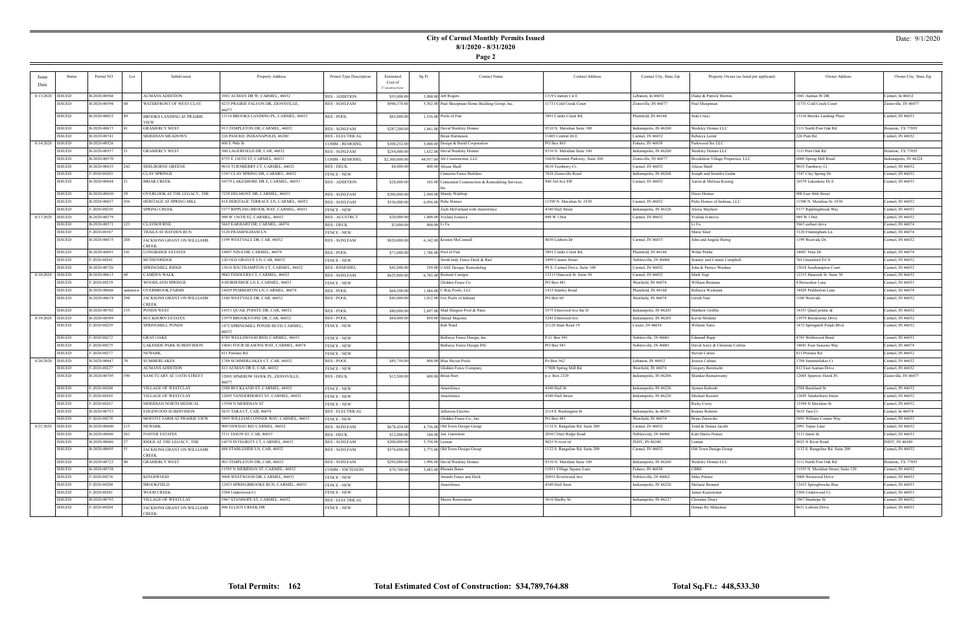### Date: 9/1/2020

|                    | <b>Status</b>      | Permit NO    | Lot     | Subdivision                         | Property Address                           | Permit Type Description          | Estimated     | Sq Ft | Contact Name                                          | <b>Contact Address</b>           | Contact City, State Zip | Property Owner (as listed per applicant) | Owner Address                       | Owner City, State Zip |
|--------------------|--------------------|--------------|---------|-------------------------------------|--------------------------------------------|----------------------------------|---------------|-------|-------------------------------------------------------|----------------------------------|-------------------------|------------------------------------------|-------------------------------------|-----------------------|
|                    |                    |              |         |                                     |                                            |                                  | Cost of       |       |                                                       |                                  |                         |                                          |                                     |                       |
|                    |                    |              |         |                                     |                                            |                                  |               |       |                                                       |                                  |                         |                                          |                                     |                       |
| 8/13/2020          | <b>ISSUED</b>      | B-2020-00568 |         | AUMANS ADDITION                     | 1041 AUMAN DR W, CARMEL, 46032             | <b>RES - ADDITION</b>            | \$55,000.0    |       | $3,000.00$ Jeff Rogers                                | 1319 Citation Cir E              | Lebanon, In 46052       | Diane & Patrick Morton                   | 1041 Auman W DR                     | Carmel, In 46032      |
|                    | ISSUED             | B-2020-00594 |         | WATERFRONT OF WEST CLAY             | 4233 PRAIRIE FALCON DR, ZIONSVILLE,        | <b>RES - SGNLFAM</b>             | \$946,378.88  |       | 5,362.00 Paul Shoopman Home Building Group, Inc.      | 11731 Cold Creek Court           | Zionsville, IN 46077    | Paul Shoopman                            | 11731 Cold Creek Court              | Zionsville, IN 46077  |
|                    | <b>ISSUED</b>      | B-2020-00653 |         | BROOKS LANDING AT PRAIRIE           | 13116 BROOKS LANDING PL, CARMEL, 46033     | RES - POOL                       | \$65,000.00   |       | 1,536.00 Pools of Fun                                 | 3891 Clarks Creek Rd.            | Plainfield, IN 46168    | Stan Crisci                              | 13116 Brooks Landing Place          | Carmel, IN 46033      |
|                    |                    |              |         | VIEW                                |                                            |                                  |               |       |                                                       |                                  |                         |                                          |                                     |                       |
|                    | <b>ISSUED</b>      | B-2020-00673 |         | <b>GRAMERCY WEST</b>                | 913 TEMPLETON DR, CARMEL, 46032            | <b>RES - SGNLFAM</b>             | \$287,200.0   |       | 1,441.00 David Weekley Homes                          | 9310 N. Meridian Suite 100       | Indianapolis, IN 46260  | Weekley Homes LLC                        | 1111 North Post Oak Rd              | Houston, TX 77055     |
|                    | <b>ISSUED</b>      | B-2020-00741 |         | <b>MERIDIAN MEADOWS</b>             | 226 PAM RD, INDIANAPOLIS, 46280            | <b>RES - ELECTRICAL</b>          |               |       | Brian Harmeson                                        | 11403 Central Dr E               | Carmel, IN 46032        | Rebecca Lester                           | 226 Pam Rd                          | Carmel, IN 46032      |
| 8/14/2020          | ISSUED             | B-2020-00526 |         |                                     | 600 E 96th St                              | COMM - REMODEI                   | \$300,252.0   |       | 5,000.00 Design & Build Corporation                   | PO Box 863                       | Fishers, IN 46038       | Parkwood Six LLC                         |                                     |                       |
|                    | <b>ISSUED</b>      | B-2020-00557 |         | <b>GRAMERCY WEST</b>                | 560 LAGERFIELD DR, CAR, 46032              | <b>RES - SGNLFAM</b>             | \$254,000.0   |       | 1,632.00 David Weekley Homes                          | 9310 N. Meridian Suite 100       | Indianapolis, IN 46260  | <b>Weekley Homes LLC</b>                 | 1111 Post Oak Rd                    | Houston, TX 77055     |
|                    | ISSUED             | B-2020-00570 |         |                                     | 4755 E 126TH ST, CARMEL, 46033             | COMM - REMODEI                   | \$2,300,000.0 |       | 44,957.00 Alt Construction, LLC                       | 10650 Bennett Parkway, Suite 200 | Zionsville, IN 46077    | Brookshire Village Properties, LLC       | 6000 Spring Mill Road               | ndianapolis, IN 46228 |
|                    | <b>ISSUED</b>      | B-2020-00635 | 242     | <b>SHELBORNE GREENE</b>             | 9610 TURNBERRY CT, CARMEL, 46032           | <b>RES - DECK</b>                | \$8,000.0     |       | 400.00 Alison Shull                                   | 9610 Turnberry Ct.               | Carmel, IN 46032        | Alison Shull                             | 9610 Turnberry Ct.                  | Carmel, IN 46032      |
|                    | <b>ISSUED</b>      | F-2020-00203 |         | <b>CLAY SPRINGS</b>                 | 1347 CLAY SPRING DR, CARMEL, 46032         | <b>FENCE - NEW</b>               |               |       | Cameron Fence Builders                                | 7828 Zionsville Road             | Indianapolis, IN 46268  | Joseph and Jennifer Godar                | 1347 Clay Spring Dr.                | Carmel, IN 46032      |
|                    | ISSUED             | B-2020-00644 |         | <b>BRIAR CREEK</b>                  | 10379 LAKESHORE DR E, CARMEL, 46033        | <b>RES - ADDITION</b>            | \$28,000.00   |       | 165.00 Centennial Consturction & Remodeling Services, | 940 3rd Ave SW                   | Carmel, IN 46032        | Aaron & Melissa Koenig                   | 10379 Lakeshore Dr E                | Carmel, IN 46033      |
|                    | <b>ISSUED</b>      | B-2020-00650 |         | OVERLOOK AT THE LEGACY, THE         | 7239 DELMONT DR, CARMEL, 46033             | <b>RES - SGNLFAM</b>             | \$200,000.00  |       | 2,949.00 Mandy Waldrup                                |                                  |                         | Drees Homes                              | 900 East 96th Street                |                       |
|                    | ISSUED             | B-2020-00657 |         | HERITAGE AT SPRING MILL             | 418 HERITAGE TERRACE LN, CARMEL, 46032     | <b>RES - SGNLFAM</b>             | \$536,000.0   |       | $6,056.00$ Pulte Homes                                | 11590 N. Meridian St. #530       | Carmel, IN 46032        | Pulte Homes of Indiana, LLC              | 11590 N. Meridian St. #530          | Carmel, IN 46032      |
|                    | <b>ISSUED</b>      | F-2020-00230 |         | <b>SPRING CREEK</b>                 | 5377 RIPPLING BROOK WAY, CARMEL, 46033     | <b>FENCE - NEW</b>               |               |       | Zach McFarland with Amerifence                        | 4340 Hull Street                 | Indianapolis, IN 46226  | Alexis Mayhew                            | 5377 Ripplingbrook Way              | Carmel, IN 46033      |
|                    | 8/17/2020   ISSUED | B-2020-00379 |         |                                     | 949 W 136TH ST, CARMEL, 46032              | <b>RES-ACCSTRCT</b>              | \$20,000.00   |       | 1,400.00 Yvelina Ivanova                              | 949 W 136st                      | Carmel, IN 46032        | Yvelina Ivanova                          | 949 W 136st                         | Carmel, IN 46032      |
|                    | ISSUED             | B-2020-00571 | 123     | <b>CLAYBOURNE</b>                   | 3663 EARHART DR, CARMEL, 46074             | <b>RES - DECK</b>                | \$3,000.0     |       | 400.00 Li Fu                                          |                                  |                         | Li Fu                                    | 3663 earhart drive                  | Carmel, IN 46074      |
|                    | <b>ISSUED</b>      | F-2020-00187 |         | <b>TRAILS AT HAYDEN RUN</b>         | 3120 FRAMINGHAM LN                         | <b>FENCE - NEW</b>               |               |       |                                                       |                                  |                         | Marie Sleet                              | 3120 Framingham Ln                  | Carmel, IN 46074      |
|                    | ISSUED             | B-2020-00675 |         | JACKSONS GRANT ON WILLIAMS          | 1199 WESTVALE DR, CAR, 46032               | <b>RES - SGNLFAM</b>             | \$820,000.0   |       | 6.142.00 Kristen McConnell                            | 4630 Lisborn Dr                  | Carmel, IN 46033        | John and Angela Hertig                   | 1199 Westvale Dr.                   | Carmel, IN 46032      |
|                    | ISSUED             | B-2020-00691 |         | CREEK<br><b>LONGRIDGE ESTATES</b>   | 14007 NINA DR, CARMEL, 46074               |                                  |               |       | 1,788.00 Pool of Fun                                  | 3891 Clarks Creek Rd.            | Plainfield, IN 46168    | Wilen Penha                              | 14007 Nina Dr.                      | Carmel, IN 46074      |
|                    | <b>ISSUED</b>      | F-2020-00241 |         | <b>BETHENRIDGE</b>                  | 120 OLD GRAYCE LN, CAR, 46032              | RES - POOL<br><b>FENCE - NEW</b> | \$71,000.0    |       | North Indy Fence Deck & Rail                          | 3499 Conner Street               | Noblesville, IN 46060   | Stanley and Connie Campbell              | 765 Greenford Trl N                 | Carmel, IN 46032      |
|                    | ISSUED             | B-2020-00726 |         | <b>SPRINGMILL RIDGE</b>             | 13018 SOUTHAMPTON CT, CARMEL, 46032        | <b>RES - REMODEL</b>             | \$42,000.0    |       | 250.00 CASE Design/Remodeling                         | 99 E. Carmel Drive, Suite 100    | Carmel, IN 46032        | John & Patrice Waidner                   | 13018 Southampton Court             | Carmel, IN 46032      |
| 8/18/2020   ISSUED |                    | B-2020-00613 |         | CAMDEN WALK                         | 9882 FIDDLERS CT, CARMEL, 46032            | <b>RES - SGNLFAM</b>             | \$625,000.00  |       | 6,785.00 Richard Carriger                             | 12315 Hancock St. Suite 30       | Carmel, IN 46032        | Mark Vogt                                | 12315 Hancock St. Suite 30          | Carmel, IN 46032      |
|                    | ISSUED             | F-2020-00219 |         | WOODLAND SPRINGS                    | 4 HORSESHOE LN E, CARMEL, 46033            | <b>FENCE - NEW</b>               |               |       | Glidden Fence Co                                      | PO Box 481                       | Westfield, IN 46074     | William Brennan                          | 4 Horseshoe Lane                    | Carmel, IN 46033      |
|                    | <b>ISSUED</b>      | B-2020-00668 | unknown | <b>OVERBROOK FARMS</b>              | 14429 PEMBERTON LN, CARMEL, 46074          | <b>RES - POOL</b>                | \$64,500.0    |       | 1,584.00 C-Ray Pools, LLC                             | 1415 Stanley Road                | Plainfield, IN 46168    | Rebecca Wickman                          | 14429 Pemberton Lane                | Carmel, IN 46074      |
|                    | ISSUED             | B-2020-00674 | 298     | JACKSONS GRANT ON WILLIAMS          | 1180 WESTVALE DR, CAR, 46032               | RES - POOL                       | \$45,000.00   |       | 1,012.00 Fox Pools of Indiana                         | PO Box 60                        | Westfield, IN 46074     | Girish Nair                              | 1180 Westvale                       | Carmel, IN 46032      |
|                    |                    |              |         | CREEK                               |                                            |                                  |               |       |                                                       |                                  |                         |                                          |                                     |                       |
|                    | ISSUED             | B-2020-00702 | 135     | PONDS WEST                          | 14351 QUAIL POINTE DR, CAR, 46032          | <b>RES - POOL</b>                | \$80,000.0    |       | 2,697.00 Mud Slingers Pool & Patio                    | 5575 Elmwood Ave Ste D           | Indianapolis, IN 46203  | Matthew Griffin                          | 14351 Quail pointe dr               | Carmel, IN 46032      |
| 8/19/2020   ISSUED |                    | B-2020-00589 |         | <b>BUCKHORN ESTATES</b>             | 13979 BROOKSTONE DR, CAR, 46032            | <b>RES - POOL</b>                | \$64,000.0    |       | 850.00 Daniel Majestic                                | 5245 Elmwood Ave                 | Indianapolis, IN 46203  | Kevin Modany                             | 13979 Brookstone Drive              | Carmel, IN 46032      |
|                    | ISSUED             | F-2020-00229 |         | SPRINGMILL PONDS                    | 1472 SPRINGMILL PONDS BLVD, CARMEL         | <b>FENCE - NEW</b>               |               |       | Rob Ward                                              | 21128 State Road 19              | Cicero, IN 46034        | William Yates                            | 1472 Springmill Ponds Blvd          | Carmel, IN 46032      |
|                    | <b>ISSUED</b>      | F-2020-00272 |         | <b>GRAY OAKS</b>                    | 16032<br>4785 WELLSWOOD BND, CARMEL, 46033 | <b>FENCE - NEW</b>               |               |       | Bullseye Fence Design, Inc.                           | P.O. Box 941                     | Noblesville, IN 46061   | Edmund Rapp                              | 4785 Wellswood Bend                 | Carmel, IN 46033      |
|                    | <b>ISSUED</b>      | F-2020-00275 |         | LAKESIDE PARK SUBDIVISION           | 14041 FOUR SEASONS WAY, CARMEL, 46074      | <b>FENCE - NEW</b>               |               |       | Bullseye Fence Design INC                             | PO Box 941                       | Noblesville, IN 46061   | David Airey & Christine Collins          | 14041 Four Seasons Way              | Carmel, IN 46074      |
|                    | <b>ISSUED</b>      | F-2020-00277 |         | NEWARK                              | 811 Pawnee Rd                              | <b>FENCE - NEW</b>               |               |       |                                                       |                                  |                         | <b>Steven Caress</b>                     | 811 Pawnee Rd                       | Carmel, IN 46032      |
| 8/20/2020   ISSUED |                    | B-2020-00647 |         | <b>SUMMERLAKES</b>                  | 1788 SUMMERLAKES CT, CAR, 46032            | <b>RES - POOL</b>                | \$85,750.00   |       | 800.00 Blue Haven Pools                               | Po Box 562                       | Lebanon, IN 46052       | Jessica Culnan                           | 1788 Summerlakes Ct                 | Carmel, IN 46032      |
|                    | <b>ISSUED</b>      | F-2020-00227 |         | <b>AUMANS ADDITION</b>              | 812 AUMAN DR E, CAR, 46032                 | <b>FENCE - NEW</b>               |               |       | Glidden Fence Company                                 | 17808 Spring Mill Rd             | Westfield, IN 46074     | Gregory Bernloehr                        | 812 East Auman Drive                | Carmel, IN 46032      |
|                    | <b>ISSUED</b>      | B-2020-00705 | 196     | SANCTUARY AT 116TH STREET           | 12005 SPARROW HAWK PL, ZIONSVILLE,         | <b>RES - DECK</b>                | \$12,500.00   |       | 400.00 Brian Hurt                                     | p.o. Box 2329                    | Indianapolis, IN 46206  | Shankar Ramaswamy                        | 12005 Sparrow Hawk Pl.              | Zionsville, IN 46077  |
|                    |                    |              |         |                                     | 46077                                      |                                  |               |       |                                                       |                                  |                         |                                          |                                     |                       |
|                    | ISSUED             | F-2020-00240 |         | VILLAGE OF WESTCLAY                 | 2588 BUCKLAND ST, CARMEL, 46032            | <b>FENCE - NEW</b>               |               |       | Amerifence                                            | 4340 Hull St                     | Indianapolis, IN 46226  | Aymen Kaboub                             | 2588 Buckland St                    | Carmel, IN 46032      |
|                    | ISSUED             | F-2020-00245 |         | VILLAGE OF WESTCLAY                 | 12695 VANDERHORST ST, CARMEL, 46032        | <b>FENCE - NEW</b>               |               |       | Amerifence                                            | 4340 Hull Street                 | Indianapolis, IN 46226  | Michael Kessler                          | 12695 Vanderhorst Street            | Carmel, IN 46032      |
|                    | <b>ISSUED</b>      | F-2020-00267 |         | MERIDIAN NORTH MEDICAL              | 13594 N MERIDIAN ST                        | <b>FENCE - NEW</b>               |               |       |                                                       |                                  |                         | Ricky Curry                              | 13594 N Meridian St                 | Carmel, IN 46032      |
|                    | <b>ISSUED</b>      | B-2020-00753 |         | EDGEWOOD SUBDIVISION                | 3635 TARA CT, CAR, 46074                   | <b>RES - ELECTRICAL</b>          |               |       | Jefferson Electric                                    | 2114 E Washington St             | Indianapolis, In 46201  | Ronnie Roberts                           | 3635 Tara Ct                        | Carmel, In 46074      |
|                    | <b>ISSUED</b>      | F-2020-00278 |         | MOFFITT FARM AT PRAIRIE VIEW        | 5895 WILLIAM CONNER WAY, CARMEL, 46033     | <b>FENCE - NEW</b>               |               |       | Glidden Fence Co., Inc                                | PO Box 481                       | Westfield, IN 46074     | Brian Zurawski                           | 5895 William Conner Way             | Carmel, IN 46033      |
|                    | 8/21/2020 ISSUED   | B-2020-00600 | 115     | <b>NEWARK</b>                       | 909 OSWEGO RD, CARMEL, 46032               | <b>RES - SGNLFAM</b>             | \$678,424.00  |       | 4,736.00 Old Town Design Group                        | 1132 S. Rangeline Rd. Suite 200  | Carmel, IN 46032        | Todd & Donna Jacobi                      | 2991 Topaz Lane                     | Carmel, IN 46032      |
|                    | ISSUED             | B-2020-00680 |         | <b>FOSTER ESTATES</b>               | 3111 JASON ST, CAR, 46033                  | <b>RES - DECK</b>                | \$12,000.0    |       | 144.00 Jon Garretson                                  | 20567 Deer Ridge Road            | Noblesviile, IN 46060   | Kim Harris-Nunez                         | 3111 Jason St.                      | Carmel, IN 46033      |
|                    | ISSUED             | B-2020-00686 |         | RIDGE AT THE LEGACY, THE            | 14570 INTEGRITY CT, CARMEL, 46033          | <b>RES - SGNLFAM</b>             | \$200,000.0   |       | 5,754.00 Lennar                                       | 9025 N river rd                  | INDY, IN 46240          | Lennar                                   | 9025 N River Road                   | INDY, IN 46240        |
|                    | ISSUED             | B-2020-00695 |         | JACKSONS GRANT ON WILLIAMS<br>CREEK | 488 STABLESIDE LN, CAR, 46032              | RES - SGNLFAM                    | \$574,000.0   |       | 3,775.00 Old Town Design Group                        | 1132 S. Rangeline Rd, Suite 200  | Carmel, IN 46032        | Old Town Design Group                    | 1132 S. Rangeline Rd. Suite 200     | Carmel, IN 46032      |
|                    | ISSUED             | B-2020-00723 |         | <b>GRAMERCY WEST</b>                | 903 TEMPLETON DR, CAR, 46032               | RES - SGNLFAM                    | \$292,000.0   |       | 1,996.00 David Weekley Homes                          | 9310 N. Meridian Suite 100       | Indianapolis, IN 46260  | Weekley Homes LLC                        | 1111 North Post Oak Rd              | Houston, TX 77055     |
|                    | ISSUED             | B-2020-00738 |         |                                     | 11595 N MERIDIAN ST, CARMEL, 46032         | <b>COMM - NWTENFIN</b>           | \$70,700.00   |       | 3,083.00 Rhonda Bates                                 | 11051 Village Square Lane        | Fishers, IN 46038       | CBRE                                     | 11555 N. Meridian Street, Suite 120 | Carmel, IN 46032      |
|                    | ISSUED             | F-2020-00276 |         | KINGSWOOD                           | 5008 WESTWOOD DR, CARMEL, 46033            | <b>FENCE - NEW</b>               |               |       | Awards Fence and Deck                                 | 20951 Riverwood Ave              | Noblesville, IN 46062   | Mike Polster                             | 5008 Westwood Drive                 | Carmel, IN 46033      |
|                    | <b>ISSUED</b>      | F-2020-00280 |         | <b>BROOKFIELD</b>                   | 12433 SPRINGBROOKE RUN, CARMEL, 46033      | <b>FENCE - NEW</b>               |               |       | Amerifence                                            | 4340 Hull Sreet                  | Indianapolis, IN 46226  | Melanie Bennett                          | 12433 Springbrooke Run              | Carmel, IN 46033      |
|                    | <b>ISSUED</b>      | F-2020-00281 |         | WOOD CREEK                          | 5304 Underwood Ct                          | <b>FENCE - NEW</b>               |               |       |                                                       |                                  |                         | James Kuersteiner                        | 5304 Underwood Ct.                  | Carmel, IN 46033      |
|                    | <b>ISSUED</b>      | B-2020-00792 |         | VILLAGE OF WESTCLAY                 | 1967 STANHOPE ST, CARMEL, 46032            | RES - ELECTRICAL                 |               |       | Moore Restoration                                     | 3610 Shelby St.                  | Indianapolis, IN 46227  | Christine Drury                          | 1967 Stanhope St.                   | Carmel, IN 46032      |
|                    | ISSUED             | F-2020-00284 |         | JACKSONS GRANT ON WILLIAMS          | 496 ELLIOT CREEK DR                        | FENCE - NEW                      |               |       |                                                       |                                  |                         | Homes By Mckenzie                        | 4631 Lisborn Drive                  | Carmel, IN 46033      |
|                    |                    |              |         | CREEK                               |                                            |                                  |               |       |                                                       |                                  |                         |                                          |                                     |                       |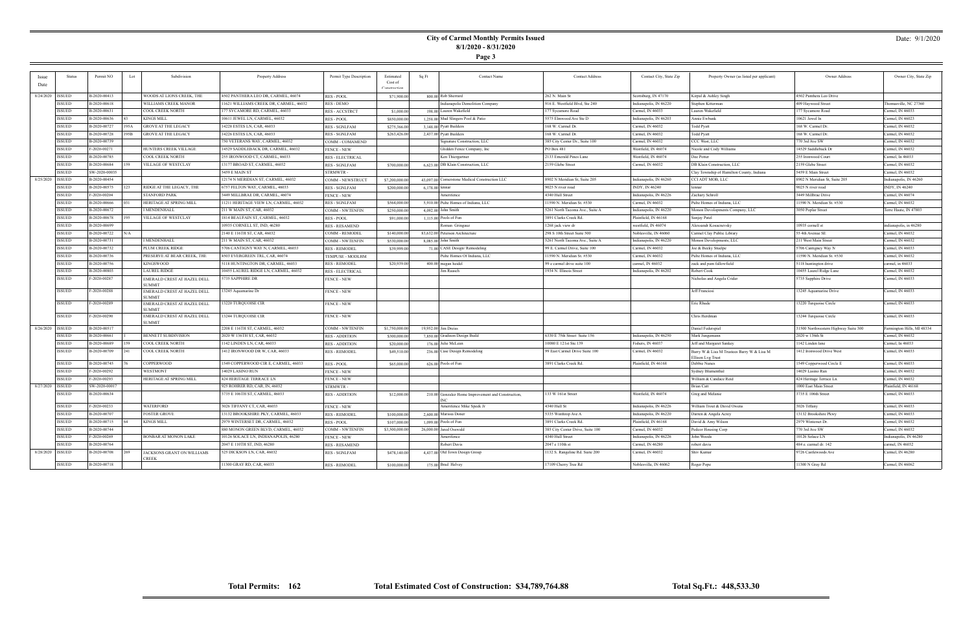### Date: 9/1/2020

| Issu |                    | Permit NO     | Lot  | Subdivision                                  | <b>Property Address</b>                                  | Permit Type Description                  | Estimated      | Sa Ft             | <b>Contact Name</b>                                | <b>Contact Address</b>           | Contact City, State Zip | Property Owner (as listed per applicant)   | Owner Address                        | Owner City, State Zip      |
|------|--------------------|---------------|------|----------------------------------------------|----------------------------------------------------------|------------------------------------------|----------------|-------------------|----------------------------------------------------|----------------------------------|-------------------------|--------------------------------------------|--------------------------------------|----------------------------|
| Date |                    |               |      |                                              |                                                          |                                          | Cost of        |                   |                                                    |                                  |                         |                                            |                                      |                            |
|      |                    |               |      |                                              |                                                          |                                          | Constructio    |                   |                                                    |                                  |                         |                                            |                                      |                            |
|      | 8/24/2020   ISSUED | B-2020-00413  |      | WOODS AT LIONS CREEK, THE                    | 4502 PANTHERA LEO DR, CARMEL, 46074                      | <b>RES - POOL</b>                        | \$71,900.00    |                   | 800.00 Rob Sherrard                                | 262 N. Main St                   | Scottsburg, IN 47170    | Kirpal & Ashley Singh                      | 4502 Panthera Leo Drive              |                            |
|      | <b>ISSUED</b>      | B-2020-00618  |      | WILLIAMS CREEK MANOR                         | 11621 WILLIAMS CREEK DR, CARMEL, 46032                   | <b>RES - DEMO</b>                        |                |                   | Indianapolis Demolition Company                    | 916 E. Westfield Blvd, Ste 240   | Indianapolis, IN 46220  | Stephen Kitterman                          | 409 Havwood Street                   | Thomasville, NC 27360      |
|      | ISSUED             | B-2020-00631  |      | <b>COOL CREEK NORTH</b>                      | 177 SYCAMORE RD, CARMEL, 46033                           | <b>RES - ACCSTRCT</b>                    | \$1,000.00     |                   | 198.00 Lauren Wakefield                            | 177 Sycamore Road                | Carmel, IN 46033        | Lauren Wakefield                           | 77 Sycamore Road                     | Carmel, IN 46033           |
|      | <b>ISSUED</b>      | B-2020-00636  |      | <b>KINGS MILL</b>                            | 10611 JEWEL LN, CARMEL, 46032                            | <b>RES-POOL</b>                          | \$850,000.0    |                   | 1,258.00 Mud Slingers Pool & Patio                 | 5575 Elmwood Ave Ste D           | Indianapolis, IN 46203  | Annie Ewbank                               | 10621 Jewel ln                       | Carmel, IN 46023           |
|      | <b>ISSUED</b>      | B-2020-00727  | 195A | <b>GROVE AT THE LEGACY</b>                   | 14228 ESTES LN, CAR, 46033                               | <b>RES - SGNLFAM</b>                     | \$275,366.0    |                   | 3,148.00 Pyatt Builders                            | 168 W. Carmel Dr.                | Carmel, IN 46032        | <b>Todd Pyatt</b>                          | 168 W. Carmel Dr.                    | Carmel, IN 46032           |
|      | <b>ISSUED</b>      | B-2020-00728  | 95B  | <b>GROVE AT THE LEGACY</b>                   | 14226 ESTES LN, CAR, 46033                               | <b>RES - SGNLFAM</b>                     | \$263,426.0    |                   | 2,437.00 Pyatt Builders                            | 168 W. Carmel Dr.                | Carmel, IN 46032        | Todd Pyatt                                 | 168 W. Carmel Dr.                    | Carmel, IN 46032           |
|      | <b>ISSUED</b>      | B-2020-00739  |      |                                              | 750 VETERANS WAY, CARMEL, 46032                          | COMM - COMAMEND                          |                |                   | Signature Construction, LLC                        | 385 City Center Dr., Suite 100   | Carmel, IN 46032        | CCC West, LLC                              | 770 3rd Ave SW                       | Carmel, IN 46032           |
|      | <b>ISSUED</b>      | F-2020-00271  |      | HUNTERS CREEK VILLAGE                        | 14529 SADDLEBACK DR, CARMEL, 46032                       | <b>FENCE - NEW</b>                       |                |                   | Glidden Fence Company, Inc                         | PO Box 481                       | Westfield, IN 46074     | Nicole and Cody Williams                   | 14529 Saddleback Dr                  | Carmel, IN 46032           |
|      | <b>ISSUED</b>      | B-2020-00785  |      | <b>COOL CREEK NORTH</b>                      | 255 IRONWOOD CT, CARMEL, 46033                           | <b>RES - ELECTRICAL</b>                  |                |                   | Ken Thiergartner                                   | 2133 Emerald Pines Lane          | Westfield, IN 46074     | Dee Potter                                 | 255 Ironwood Court                   | Carmel, In 46033           |
|      | <b>ISSUED</b>      | B-2020-00684  |      | VILLAGE OF WESTCLAY                          | 13177 BROAD ST, CARMEL, 46032                            | <b>RES - SGNLFAM</b>                     | \$700,000.0    |                   | 6,623.00 DB Klain Construction, LLC                | 2159 Glebe Street                | Carmel, IN 46032        | DB Klain Construction, LLC                 | 2159 Glebe Street                    | Carmel, IN 46032           |
|      | ISSUED             | SW-2020-00035 |      |                                              | 5459 E MAIN ST                                           | <b>STRMWTR-</b>                          |                |                   |                                                    |                                  |                         | Clay Township of Hamilton County, Indiana  | 5459 E Main Street                   | Carmel, IN 46032           |
|      | 8/25/2020 ISSUED   | B-2020-00454  |      |                                              | 12174 N MERIDIAN ST, CARMEL, 46032                       | COMM - NEWSTRUCT                         | \$7,200,000.0  |                   | 43,097.00 Cornerstone Medical Construction LLC     | 8902 N Meridian St, Suite 205    | Indianapolis, IN 46260  | CCI ADT MOB, LLC                           | 8902 N Meridian St, Suite 205        | Indianapolis, IN 46260     |
|      | ISSUED             | B-2020-00575  |      | RIDGE AT THE LEGACY, THE                     | 5757 FELTON WAY, CARMEL, 46033                           | <b>RES - SGNLFAM</b>                     | \$200,000.0    | $6,178.00$ lennar |                                                    | 9025 N river road                | INDY, IN 46240          | lennar                                     | 9025 N river road                    | INDY, IN 46240             |
|      | <b>ISSUED</b>      | F-2020-00204  |      | STANFORD PARK                                | 3449 MILLBRAE DR. CARMEL. 46074                          | <b>FENCE - NEW</b>                       |                |                   | Amerifence                                         | 4340 Hull Street                 | Indianapolis, IN 46226  | Zachary Schroll                            | 3449 Millbrae Drive                  | Carmel, IN 46074           |
|      | <b>ISSUED</b>      | B-2020-00666  |      | <b>HERITAGE AT SPRING MILL</b>               | 11211 HERITAGE VIEW LN, CARMEL, 46032                    | RES - SGNLFAM                            | \$564,000.00   |                   | 5,910.00 Pulte Homes of Indiana, LLC               | 11590 N. Meridian St. #530       | Carmel, IN 46032        | Pulte Homes of Indiana, LLC                | 1590 N. Meridian St. #530            | Carmel, IN 46032           |
|      | <b>ISSUED</b>      | B-2020-00672  |      | MENDENHALL                                   | 211 W MAIN ST, CAR, 46032                                | COMM - NWTENFIN                          | \$250,000.0    |                   | 4,092.00 John Smith                                | 5261 North Tacoma Ave., Suite A  | Indianapolis, IN 46220  | Monon Devolopments Company, LLC            | 3050 Poplar Street                   | Terre Haute, IN 47803      |
|      | <b>ISSUED</b>      | B-2020-00678  |      | VILLAGE OF WESTCLAY                          | 1814 BEAUFAIN ST, CARMEL, 46032                          | RES - POOL                               | \$91,000.0     |                   | 1,115.00 Pools of Fun                              | 3891 Clarks Creek Rd.            | Plainfield, IN 46168    | Sanjay Patel                               |                                      |                            |
|      | <b>ISSUED</b>      | B-2020-00699  |      |                                              | 10935 CORNELL ST, IND, 46280                             | <b>RES - RESAMEND</b>                    |                |                   | Roman Gringauz                                     | 1268 jack view dr                | westfield, IN 46074     | Alexsandr Kosacnevsky                      | 10935 cornell st                     | indianapolis, in 46280     |
|      | <b>ISSUED</b>      | B-2020-00722  | √VA  |                                              | 2140 E 116TH ST, CAR, 46032                              | COMM - REMODEI                           | \$140,000.00   |                   | 83,632.00 Peterson Architecture                    | 298 S 10th Street Suite 500      | Noblesville, IN 46060   | Carmel Clay Public Library                 | 55 4th Avenue SE                     | Carmel, IN 46032           |
|      | <b>ISSUED</b>      | B-2020-00731  |      | <b>I MENDENHALL</b>                          | 211 W MAIN ST, CAR, 46032                                | COMM - NWTENFIN                          | \$530,000.0    |                   | 8.085.00 John Smith                                | 5261 North Tacoma Ave., Suite A  | Indianapolis, IN 46220  | Monon Developments, LLC                    | 211 West Main Street                 | Carmel, IN 46032           |
|      | <b>ISSUED</b>      | B-2020-00732  |      | PLUM CREEK RIDGE                             | 5706 CANTIGNY WAY N, CARMEL, 46033                       | <b>RES - REMODEL</b>                     | \$39,999.0     |                   | 71.00 CASE Design/Remodeling                       | 99 E. Carmel Drive, Suite 100    | Carmel, IN 46032        | Joe & Becky Stuelpe                        | 5706 Cantigney Way N                 | Carmel, IN 46033           |
|      | ISSUED             | B-2020-00736  |      | PRESERVE AT BEAR CREEK, THE                  | 4503 EVERGREEN TRL, CAR, 46074                           |                                          |                |                   | Pulte Homes Of Indiana, LLC                        | 11590 N. Meridian St. #530       | Carmel, IN 46032        | Pulte Homes of Indiana, LLC                | 1590 N. Meridian St. #530            | Carmel, IN 46032           |
|      | <b>ISSUED</b>      | B-2020-00756  |      | <b>KINGSWOOD</b>                             | 5118 HUNTINGTON DR, CARMEL, 46033                        | TEMPUSE - MODLHM<br><b>RES - REMODEL</b> | \$20,939.0     |                   | 400.00 megan heidel                                | 99 e carmel drive suite 100      | carmel, IN 46032        | zack and pam fallowfield                   | 5118 huntington drive                | armel, in 46033            |
|      |                    | B-2020-00803  |      | <b>LAUREL RIDGE</b>                          |                                                          |                                          |                |                   |                                                    |                                  |                         | Robert Cool                                |                                      |                            |
|      | <b>ISSUED</b>      | F-2020-00287  |      |                                              | 10455 LAUREL RIDGE LN, CARMEL, 46032<br>5735 SAPPHIRE DR | <b>RES - ELECTRICAI</b>                  |                |                   | <b>Jim Raasch</b>                                  | 1934 N. Illinois Street          | Indianapolis, IN 46202  |                                            | 10455 Laurel Ridge Lane              | Carmel, IN 46032           |
|      | <b>ISSUED</b>      |               |      | EMERALD CREST AT HAZEL DELL<br><b>SUMMIT</b> |                                                          | <b>FENCE - NEW</b>                       |                |                   |                                                    |                                  |                         | Nicholas and Angela Crider                 | 5735 Sapphire Drive                  | Carmel, IN 46033           |
|      | <b>ISSUED</b>      | F-2020-00288  |      | EMERALD CREST AT HAZEL DELL                  | 13245 Aquamarine Dr                                      | <b>FENCE - NEW</b>                       |                |                   |                                                    |                                  |                         | Jeff Francios                              | 13245 Aquamarine Drive               | Carmel, IN 46033           |
|      |                    |               |      | <b>SUMMIT</b>                                |                                                          |                                          |                |                   |                                                    |                                  |                         |                                            |                                      |                            |
|      | <b>ISSUED</b>      | F-2020-00289  |      | <b>EMERALD CREST AT HAZEL DELL</b>           | 13220 TURQUOISE CIR                                      | <b>FENCE - NEW</b>                       |                |                   |                                                    |                                  |                         | Eric Rhude                                 | 13220 Turquoise Circle               | Carmel, IN 46033           |
|      | <b>ISSUED</b>      | F-2020-00290  |      | <b>SI IMMIT</b>                              | 13244 TURQUOISE CIR                                      |                                          |                |                   |                                                    |                                  |                         | Chris Herdman                              |                                      | Carmel, IN 46033           |
|      |                    |               |      | EMERALD CREST AT HAZEL DELL<br><b>SUMMIT</b> |                                                          | <b>FENCE - NEW</b>                       |                |                   |                                                    |                                  |                         |                                            | 13244 Turquoise Circle               |                            |
|      | 8/26/2020   ISSUED | B-2020-00517  |      |                                              | 2208 E 116TH ST, CARMEL, 46032                           | COMM - NWTENFIN                          | \$1,750,000.00 |                   | 19,952.00 Jim Dreiss                               |                                  |                         | Daniel Federspiel                          | 31500 Northwestern Highway Suite 300 | Farmington Hills, MI 48334 |
|      | <b>ISSUED</b>      | B-2020-00661  |      | <b>BENNETT SUBDIVISION</b>                   | 2020 W 136TH ST, CAR, 46032                              | <b>RES - ADDITION</b>                    | \$300,000.00   |                   | 7,850.00 Gradison Design Build                     | 6330 E 75th Street Suite 156     | Indianapolis, IN 46250  | Mark Jungemann                             | 2020 w 136th St                      | Carmel, IN 46032           |
|      | <b>ISSUED</b>      | B-2020-00689  |      | COOL CREEK NORTH                             | 1142 LINDEN LN, CAR, 46033                               | <b>RES - ADDITION</b>                    | \$20,000.0     |                   | 176.00 Julie McLean                                | 10080 E 121st Ste.139            | Fishers, IN 46037       | Jeff and Margaret Sankey                   | 1142 Linden lane                     | Carmel, In 46033           |
|      | <b>ISSUED</b>      | B-2020-00709  | 241  | <b>COOL CREEK NORTH</b>                      | 1412 IRONWOOD DR W, CAR, 46033                           | <b>RES - REMODEL</b>                     | \$49,510.0     |                   | 236.00 Case Design Remodeling                      | 99 East Carmel Drive Suite 100   | Carmel, IN 46032        | Barry W & Lisa M Trustees Barry W & Lisa M | 1412 Ironwood Drive West             | Carmel, IN 46033           |
|      |                    |               |      |                                              |                                                          |                                          |                |                   |                                                    |                                  |                         | Ellison Lvg Trust                          |                                      |                            |
|      | <b>ISSUED</b>      | B-2020-00745  |      | COPPERWOOD                                   | 1549 COPPERWOOD CIR E, CARMEL, 46033                     | <b>RES - POOL</b>                        | \$65,000.0     |                   | $626.00$ Pools of Fun                              | 3891 Clarks Creek Rd.            | Plainfield, IN 46168    | Debbie Nunes                               | 1549 Copperwood Circle E             | Carmel, IN 46033           |
|      | <b>ISSUED</b>      | F-2020-00292  |      | <b>WESTMONT</b>                              | 14029 LASINO RUN                                         | <b>FENCE - NEW</b>                       |                |                   |                                                    |                                  |                         | Sydney Blumenthal                          | 14029 Lasino Run                     | Carmel, IN 46032           |
|      | <b>ISSUED</b>      | F-2020-00293  |      | HERITAGE AT SPRING MILL                      | 424 HERITAGE TERRACE LN                                  | <b>FENCE - NEW</b>                       |                |                   |                                                    |                                  |                         | William & Candace Reid                     | 424 Heritage Terrace Ln.             | Carmel, IN 46032           |
|      | 8/27/2020 ISSUED   | SW-2020-00017 |      |                                              | 925 ROHRER RD, CAR, IN, 46032                            | <b>STRMWTR</b>                           |                |                   |                                                    |                                  |                         | Brian Cat                                  | 1000 East Main Street                | Plainfield, IN 46168       |
|      | <b>ISSUED</b>      | B-2020-00634  |      |                                              | 3735 E 106TH ST, CARMEL, 46033                           | <b>RES - ADDITION</b>                    | \$12,000.00    |                   | 210.00 Gonzalez Home Improvement and Construction, | 133 W 161st Street               | Westfield, IN 46074     | Greg and Melanie                           | 3735 E 106th Street                  | Carmel, IN 46033           |
|      |                    |               |      |                                              |                                                          |                                          |                |                   |                                                    |                                  |                         |                                            |                                      |                            |
|      | <b>ISSUED</b>      | F-2020-00233  |      | <b>WATERFORD</b>                             | 3026 TIFFANY CT, CAR, 46033                              | <b>FENCE - NEW</b>                       |                |                   | Amerifence Mike Speek Jr                           | 4340 Hull St                     | Indianapolis, IN 46226  | William Trout & David Owens                | 3026 Tiffany                         | Carmel, IN 46033           |
|      | <b>ISSUED</b>      | B-2020-00707  |      | <b>FOSTER GROVE</b>                          | 13132 BROOKSHIRE PKY, CARMEL, 46033                      | <b>RES - REMODEL</b>                     | \$100,000.00   |                   | 2,600.00 Marissa Doner                             | 5335 Winthrop Ave A              | Indianapolis, IN 46220  | Darren & Angela Acrey                      | 13132 Brookshire Pkwy                | Carmel, IN 46033           |
|      | <b>ISSUED</b>      | B-2020-00715  |      | <b>KINGS MILL</b>                            | 2979 WINTERSET DR. CARMEL. 4603:                         | <b>RES - POOL</b>                        | \$107,000.0    |                   | 1,099.00 Pools of Fun                              | 3891 Clarks Creek Rd.            | Plainfield, IN 46168    | David & Amy Wilson                         | 2979 Winterset Dr.                   | Carmel, IN 46032           |
|      | <b>ISSUED</b>      | B-2020-00744  |      |                                              | 880 MONON GREEN BLVD, CARMEL, 46032                      | COMM - NWTENFIN                          | \$3,500,000.0  |                   | 26,000.00 Jared Osswald                            | 385 City Center Drive, Suite 100 | Carmel, IN 46032        | Pedcor Housing Corp                        | 770 3rd Ave SW                       | Carmel, IN 46032           |
|      | <b>ISSUED</b>      | F-2020-00269  |      | <b>BONBAR AT MONON LAKE</b>                  | 10126 SOLACE LN, INDIANAPOLIS, 46280                     | <b>FENCE - NEW</b>                       |                |                   | Amerifence                                         | 4340 Hull Street                 | Indianapolis, IN 46226  | John Woods                                 | $10126$ Solace ${\rm LN}$            | Indianapolis, IN 46280     |
|      | <b>ISSUED</b>      | B-2020-00764  |      |                                              | 2047 E 110TH ST, IND, 46280                              | <b>RES - RESAMEND</b>                    |                |                   | Robert Davis                                       | 2047 e 110th st                  | Carmel, IN 46280        | robert davis                               | 484 e. carmel dr. 142                | carmel, IN 46032           |
|      | 8/28/2020 ISSUED   | B-2020-00708  |      | JACKSONS GRANT ON WILLIAMS                   | 525 DICKSON LN, CAR, 46032                               | <b>RES - SGNLFAM</b>                     | \$478,140.00   |                   | 4,437.00 Old Town Design Group                     | 1132 S. Rangeline Rd. Suite 200  | Carmel, IN 46032        | Shiv Kumar                                 | 9726 Castlewoods Ave                 | Carmel. IN 46280           |
|      | <b>ISSUED</b>      | B-2020-00718  |      | <b>CREEK</b>                                 | 11300 GRAY RD, CAR, 46033                                | <b>RES - REMODEI</b>                     | \$100,000.00   |                   | 175.00 Brad Helvey                                 | 17109 Cherry Tree Rd             | Noblesville, IN 46062   | Roger Pope                                 | 11300 N Gray Rd                      | Carmel, IN 46062           |
|      |                    |               |      |                                              |                                                          |                                          |                |                   |                                                    |                                  |                         |                                            |                                      |                            |